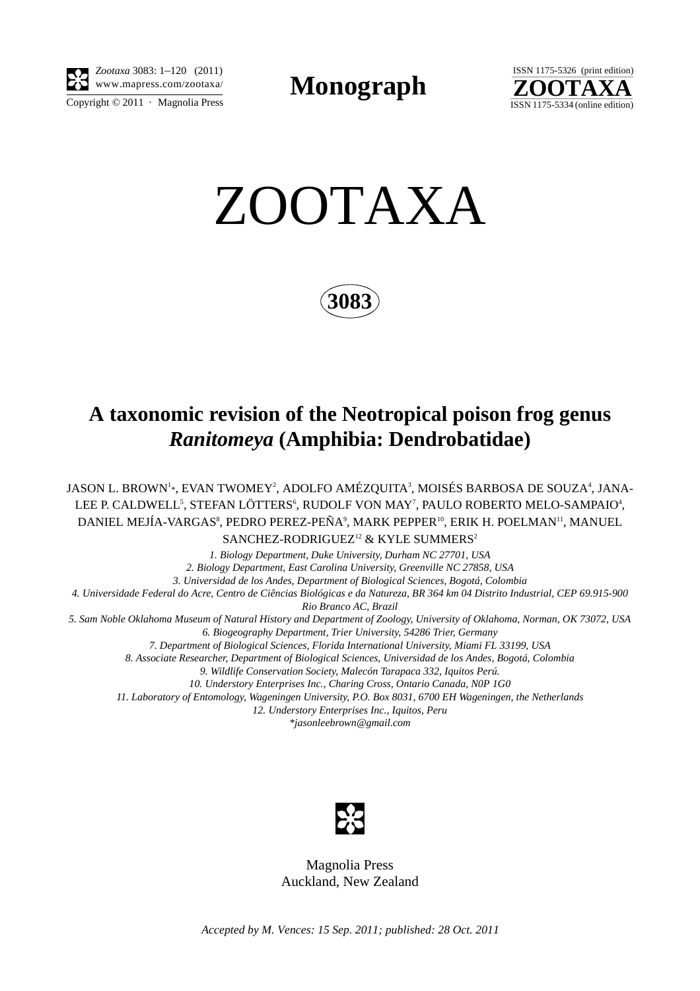

*Zootaxa* 3083: 1–120 (2011) www.mapress.com/zootaxa/ **Monograph**



ZOOTAXA

**3083**

# **A taxonomic revision of the Neotropical poison frog genus** *Ranitomeya* **(Amphibia: Dendrobatidae)**

JASON L. BROWN<sup>1</sup>\*, EVAN TWOMEY<sup>2</sup>, ADOLFO AMÉZQUITA<sup>3</sup>, MOISÉS BARBOSA DE SOUZA<sup>4</sup>, JANA-LEE P. CALDWELL<sup>5</sup>, STEFAN LÖTTERS<sup>6</sup>, RUDOLF VON MAY<sup>7</sup>, PAULO ROBERTO MELO-SAMPAIO<sup>4</sup>, DANIEL MEJÍA-VARGAS $^{\rm 8}$ , PEDRO PEREZ-PEÑA $^{\rm 9}$ , MARK PEPPER $^{\rm 10}$ , ERIK H. POELMAN $^{\rm 11}$ , MANUEL SANCHEZ-RODRIGUEZ<sup>12</sup> & KYLE SUMMERS<sup>2</sup>

*1. Biology Department, Duke University, Durham NC 27701, USA 2. Biology Department, East Carolina University, Greenville NC 27858, USA 3. Universidad de los Andes, Department of Biological Sciences, Bogotá, Colombia 4. Universidade Federal do Acre, Centro de Ciências Biológicas e da Natureza, BR 364 km 04 Distrito Industrial, CEP 69.915-900 Rio Branco AC, Brazil 5. Sam Noble Oklahoma Museum of Natural History and Department of Zoology, University of Oklahoma, Norman, OK 73072, USA 6. Biogeography Department, Trier University, 54286 Trier, Germany 7. Department of Biological Sciences, Florida International University, Miami FL 33199, USA 8. Associate Researcher, Department of Biological Sciences, Universidad de los Andes, Bogotá, Colombia 9. Wildlife Conservation Society, Malecón Tarapaca 332, Iquitos Perú. 10. Understory Enterprises Inc., Charing Cross, Ontario Canada, N0P 1G0 11. Laboratory of Entomology, Wageningen University, P.O. Box 8031, 6700 EH Wageningen, the Netherlands 12. Understory Enterprises Inc., Iquitos, Peru \*jasonleebrown@gmail.com*



Magnolia Press Auckland, New Zealand

*Accepted by M. Vences: 15 Sep. 2011; published: 28 Oct. 2011*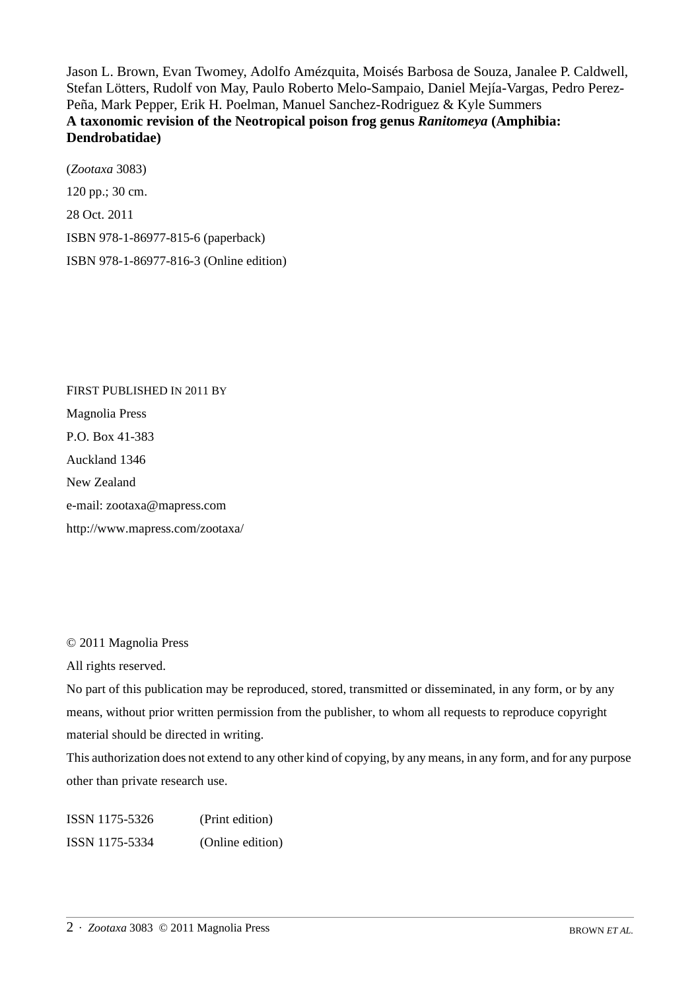Jason L. Brown, Evan Twomey, Adolfo Amézquita, Moisés Barbosa de Souza, Janalee P. Caldwell, Stefan Lötters, Rudolf von May, Paulo Roberto Melo-Sampaio, Daniel Mejía-Vargas, Pedro Perez-Peña, Mark Pepper, Erik H. Poelman, Manuel Sanchez-Rodriguez & Kyle Summers **A taxonomic revision of the Neotropical poison frog genus** *Ranitomeya* **(Amphibia: Dendrobatidae)** 

(*Zootaxa* 3083) 120 pp.; 30 cm. 28 Oct. 2011 ISBN 978-1-86977-815-6 (paperback) ISBN 978-1-86977-816-3 (Online edition)

FIRST PUBLISHED IN 2011 BY Magnolia Press P.O. Box 41-383 Auckland 1346 New Zealand e-mail: zootaxa@mapress.com http://www.mapress.com/zootaxa/

## © 2011 Magnolia Press

All rights reserved.

No part of this publication may be reproduced, stored, transmitted or disseminated, in any form, or by any means, without prior written permission from the publisher, to whom all requests to reproduce copyright material should be directed in writing.

This authorization does not extend to any other kind of copying, by any means, in any form, and for any purpose other than private research use.

ISSN 1175-5326 (Print edition) ISSN 1175-5334 (Online edition)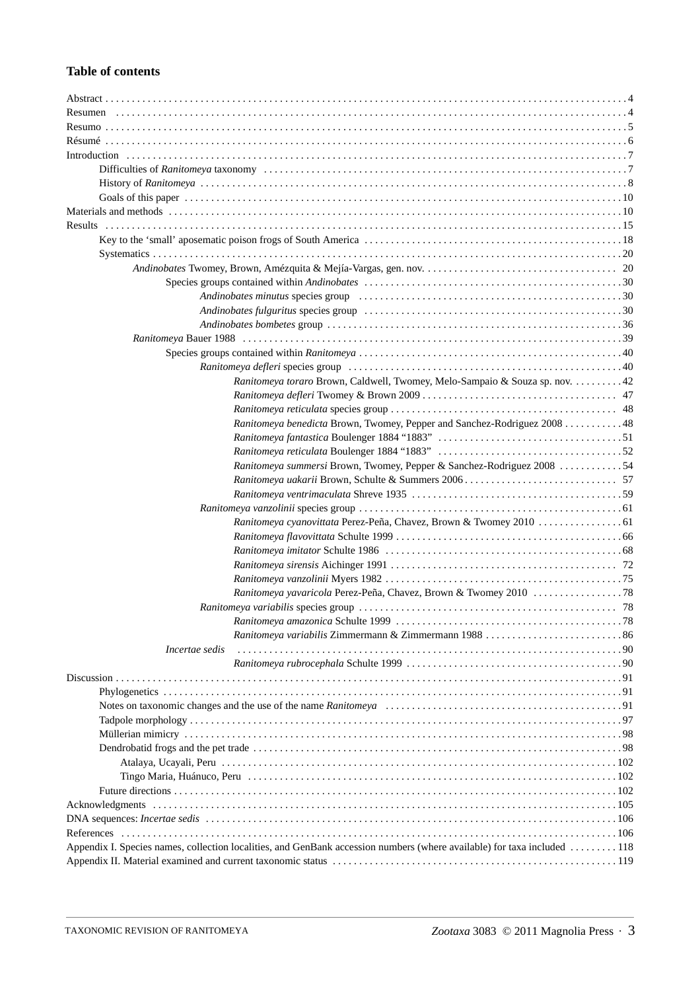## **Table of contents**

| Ranitomeya toraro Brown, Caldwell, Twomey, Melo-Sampaio & Souza sp. nov. 42                                             |  |
|-------------------------------------------------------------------------------------------------------------------------|--|
|                                                                                                                         |  |
|                                                                                                                         |  |
| Ranitomeya benedicta Brown, Twomey, Pepper and Sanchez-Rodriguez 2008 48                                                |  |
|                                                                                                                         |  |
|                                                                                                                         |  |
| Ranitomeya summersi Brown, Twomey, Pepper & Sanchez-Rodriguez 2008 54                                                   |  |
|                                                                                                                         |  |
|                                                                                                                         |  |
|                                                                                                                         |  |
|                                                                                                                         |  |
|                                                                                                                         |  |
|                                                                                                                         |  |
|                                                                                                                         |  |
|                                                                                                                         |  |
|                                                                                                                         |  |
|                                                                                                                         |  |
|                                                                                                                         |  |
|                                                                                                                         |  |
| Incertae sedis                                                                                                          |  |
|                                                                                                                         |  |
|                                                                                                                         |  |
|                                                                                                                         |  |
|                                                                                                                         |  |
|                                                                                                                         |  |
|                                                                                                                         |  |
|                                                                                                                         |  |
|                                                                                                                         |  |
|                                                                                                                         |  |
|                                                                                                                         |  |
|                                                                                                                         |  |
|                                                                                                                         |  |
|                                                                                                                         |  |
| Appendix I. Species names, collection localities, and GenBank accession numbers (where available) for taxa included 118 |  |
|                                                                                                                         |  |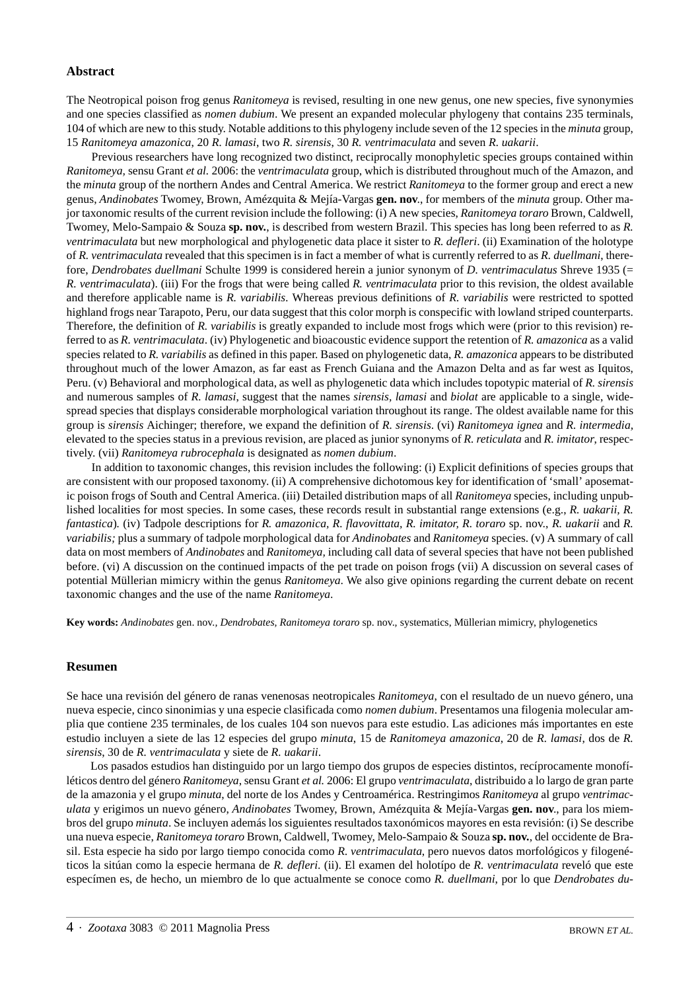#### **Abstract**

The Neotropical poison frog genus *Ranitomeya* is revised, resulting in one new genus, one new species, five synonymies and one species classified as *nomen dubium*. We present an expanded molecular phylogeny that contains 235 terminals, 104 of which are new to this study. Notable additions to this phylogeny include seven of the 12 species in the *minuta* group, 15 *Ranitomeya amazonica*, 20 *R. lamasi*, two *R. sirensis*, 30 *R. ventrimaculata* and seven *R. uakarii*.

Previous researchers have long recognized two distinct, reciprocally monophyletic species groups contained within *Ranitomeya,* sensu Grant *et al.* 2006: the *ventrimaculata* group, which is distributed throughout much of the Amazon, and the *minuta* group of the northern Andes and Central America. We restrict *Ranitomeya* to the former group and erect a new genus, *Andinobates* Twomey, Brown, Amézquita & Mejía-Vargas **gen. nov**., for members of the *minuta* group. Other major taxonomic results of the current revision include the following: (i) A new species, *Ranitomeya toraro* Brown, Caldwell, Twomey, Melo-Sampaio & Souza **sp. nov.**, is described from western Brazil. This species has long been referred to as *R. ventrimaculata* but new morphological and phylogenetic data place it sister to *R. defleri*. (ii) Examination of the holotype of *R. ventrimaculata* revealed that this specimen is in fact a member of what is currently referred to as *R. duellmani*, therefore, *Dendrobates duellmani* Schulte 1999 is considered herein a junior synonym of *D. ventrimaculatus* Shreve 1935 (= *R. ventrimaculata*). (iii) For the frogs that were being called *R. ventrimaculata* prior to this revision, the oldest available and therefore applicable name is *R. variabilis.* Whereas previous definitions of *R. variabilis* were restricted to spotted highland frogs near Tarapoto, Peru, our data suggest that this color morph is conspecific with lowland striped counterparts. Therefore, the definition of *R. variabilis* is greatly expanded to include most frogs which were (prior to this revision) referred to as *R. ventrimaculata*. (iv) Phylogenetic and bioacoustic evidence support the retention of *R. amazonica* as a valid species related to *R. variabilis* as defined in this paper. Based on phylogenetic data, *R. amazonica* appears to be distributed throughout much of the lower Amazon, as far east as French Guiana and the Amazon Delta and as far west as Iquitos, Peru. (v) Behavioral and morphological data, as well as phylogenetic data which includes topotypic material of *R. sirensis* and numerous samples of *R. lamasi*, suggest that the names *sirensis, lamasi* and *biolat* are applicable to a single, widespread species that displays considerable morphological variation throughout its range. The oldest available name for this group is *sirensis* Aichinger; therefore, we expand the definition of *R. sirensis*. (vi) *Ranitomeya ignea* and *R. intermedia,* elevated to the species status in a previous revision, are placed as junior synonyms of *R. reticulata* and *R. imitator*, respectively. (vii) *Ranitomeya rubrocephala* is designated as *nomen dubium*.

In addition to taxonomic changes, this revision includes the following: (i) Explicit definitions of species groups that are consistent with our proposed taxonomy. (ii) A comprehensive dichotomous key for identification of 'small' aposematic poison frogs of South and Central America. (iii) Detailed distribution maps of all *Ranitomeya* species, including unpublished localities for most species. In some cases, these records result in substantial range extensions (e.g., *R. uakarii, R. fantastica*)*.* (iv) Tadpole descriptions for *R. amazonica, R. flavovittata, R. imitator, R. toraro* sp. nov., *R. uakarii* and *R. variabilis;* plus a summary of tadpole morphological data for *Andinobates* and *Ranitomeya* species. (v) A summary of call data on most members of *Andinobates* and *Ranitomeya,* including call data of several species that have not been published before. (vi) A discussion on the continued impacts of the pet trade on poison frogs (vii) A discussion on several cases of potential Müllerian mimicry within the genus *Ranitomeya*. We also give opinions regarding the current debate on recent taxonomic changes and the use of the name *Ranitomeya*.

**Key words:** *Andinobates* gen. nov.*, Dendrobates, Ranitomeya toraro* sp. nov.*,* systematics, Müllerian mimicry, phylogenetics

#### **Resumen**

Se hace una revisión del género de ranas venenosas neotropicales *Ranitomeya*, con el resultado de un nuevo género, una nueva especie, cinco sinonimias y una especie clasificada como *nomen dubium*. Presentamos una filogenia molecular amplia que contiene 235 terminales, de los cuales 104 son nuevos para este estudio. Las adiciones más importantes en este estudio incluyen a siete de las 12 especies del grupo *minuta*, 15 de *Ranitomeya amazonica*, 20 de *R. lamasi*, dos de *R. sirensis*, 30 de *R. ventrimaculata* y siete de *R. uakarii*.

Los pasados estudios han distinguido por un largo tiempo dos grupos de especies distintos, recíprocamente monofíléticos dentro del género *Ranitomeya*, sensu Grant *et al.* 2006: El grupo *ventrimaculata*, distribuido a lo largo de gran parte de la amazonia y el grupo *minuta*, del norte de los Andes y Centroamérica. Restringimos *Ranitomeya* al grupo *ventrimaculata* y erigimos un nuevo género, *Andinobates* Twomey, Brown, Amézquita & Mejía-Vargas **gen. nov**., para los miembros del grupo *minuta*. Se incluyen además los siguientes resultados taxonómicos mayores en esta revisión: (i) Se describe una nueva especie, *Ranitomeya toraro* Brown, Caldwell, Twomey, Melo-Sampaio & Souza **sp. nov.**, del occidente de Brasil. Esta especie ha sido por largo tiempo conocida como *R. ventrimaculata*, pero nuevos datos morfológicos y filogenéticos la sitúan como la especie hermana de *R. defleri*. (ii). El examen del holotípo de *R. ventrimaculata* reveló que este especímen es, de hecho, un miembro de lo que actualmente se conoce como *R. duellmani*, por lo que *Dendrobates du-*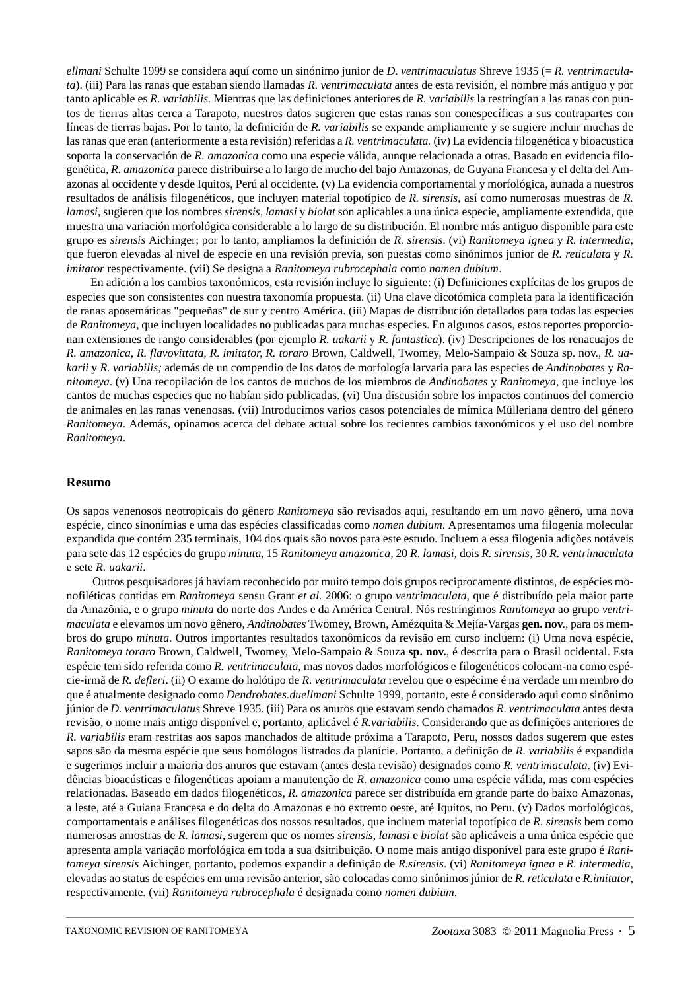*ellmani* Schulte 1999 se considera aquí como un sinónimo junior de *D. ventrimaculatus* Shreve 1935 (= *R. ventrimaculata*). (iii) Para las ranas que estaban siendo llamadas *R. ventrimaculata* antes de esta revisión, el nombre más antiguo y por tanto aplicable es *R. variabilis*. Mientras que las definiciones anteriores de *R. variabilis* la restringían a las ranas con puntos de tierras altas cerca a Tarapoto, nuestros datos sugieren que estas ranas son conespecíficas a sus contrapartes con líneas de tierras bajas. Por lo tanto, la definición de *R. variabilis* se expande ampliamente y se sugiere incluir muchas de las ranas que eran (anteriormente a esta revisión) referidas a *R. ventrimaculata.* (iv) La evidencia filogenética y bioacustica soporta la conservación de *R. amazonica* como una especie válida, aunque relacionada a otras. Basado en evidencia filogenética, *R. amazonica* parece distribuirse a lo largo de mucho del bajo Amazonas, de Guyana Francesa y el delta del Amazonas al occidente y desde Iquitos, Perú al occidente. (v) La evidencia comportamental y morfológica, aunada a nuestros resultados de análisis filogenéticos, que incluyen material topotípico de *R. sirensis*, así como numerosas muestras de *R. lamasi*, sugieren que los nombres *sirensis, lamasi* y *biolat* son aplicables a una única especie, ampliamente extendida, que muestra una variación morfológica considerable a lo largo de su distribución. El nombre más antiguo disponible para este grupo es *sirensis* Aichinger; por lo tanto, ampliamos la definición de *R. sirensis*. (vi) *Ranitomeya ignea* y *R. intermedia*, que fueron elevadas al nivel de especie en una revisión previa, son puestas como sinónimos junior de *R. reticulata* y *R. imitator* respectivamente. (vii) Se designa a *Ranitomeya rubrocephala* como *nomen dubium*.

En adición a los cambios taxonómicos, esta revisión incluye lo siguiente: (i) Definiciones explícitas de los grupos de especies que son consistentes con nuestra taxonomía propuesta. (ii) Una clave dicotómica completa para la identificación de ranas aposemáticas "pequeñas" de sur y centro América. (iii) Mapas de distribución detallados para todas las especies de *Ranitomeya*, que incluyen localidades no publicadas para muchas especies. En algunos casos, estos reportes proporcionan extensiones de rango considerables (por ejemplo *R. uakarii* y *R. fantastica*). (iv) Descripciones de los renacuajos de *R. amazonica, R. flavovittata, R. imitator, R. toraro* Brown, Caldwell, Twomey, Melo-Sampaio & Souza sp. nov., *R. uakarii* y *R. variabilis;* además de un compendio de los datos de morfología larvaria para las especies de *Andinobates* y *Ranitomeya*. (v) Una recopilación de los cantos de muchos de los miembros de *Andinobates* y *Ranitomeya*, que incluye los cantos de muchas especies que no habían sido publicadas. (vi) Una discusión sobre los impactos continuos del comercio de animales en las ranas venenosas. (vii) Introducimos varios casos potenciales de mímica Mülleriana dentro del género *Ranitomeya*. Además, opinamos acerca del debate actual sobre los recientes cambios taxonómicos y el uso del nombre *Ranitomeya*.

#### **Resumo**

Os sapos venenosos neotropicais do gênero *Ranitomeya* são revisados aqui, resultando em um novo gênero, uma nova espécie, cinco sinonímias e uma das espécies classificadas como *nomen dubium*. Apresentamos uma filogenia molecular expandida que contém 235 terminais, 104 dos quais são novos para este estudo. Incluem a essa filogenia adições notáveis para sete das 12 espécies do grupo *minuta*, 15 *Ranitomeya amazonica*, 20 *R. lamasi*, dois *R. sirensis*, 30 *R. ventrimaculata* e sete *R. uakarii*.

Outros pesquisadores já haviam reconhecido por muito tempo dois grupos reciprocamente distintos, de espécies monofiléticas contidas em *Ranitomeya* sensu Grant *et al.* 2006: o grupo *ventrimaculata*, que é distribuído pela maior parte da Amazônia, e o grupo *minuta* do norte dos Andes e da América Central. Nós restringimos *Ranitomeya* ao grupo *ventrimaculata* e elevamos um novo gênero, *Andinobates* Twomey, Brown, Amézquita & Mejía-Vargas **gen. nov**., para os membros do grupo *minuta*. Outros importantes resultados taxonômicos da revisão em curso incluem: (i) Uma nova espécie, *Ranitomeya toraro* Brown, Caldwell, Twomey, Melo-Sampaio & Souza **sp. nov.**, é descrita para o Brasil ocidental. Esta espécie tem sido referida como *R. ventrimaculata*, mas novos dados morfológicos e filogenéticos colocam-na como espécie-irmã de *R. defleri*. (ii) O exame do holótipo de *R. ventrimaculata* revelou que o espécime é na verdade um membro do que é atualmente designado como *Dendrobates.duellmani* Schulte 1999, portanto, este é considerado aqui como sinônimo júnior de *D. ventrimaculatus* Shreve 1935. (iii) Para os anuros que estavam sendo chamados *R. ventrimaculata* antes desta revisão, o nome mais antigo disponível e, portanto, aplicável é *R.variabilis*. Considerando que as definições anteriores de *R. variabilis* eram restritas aos sapos manchados de altitude próxima a Tarapoto, Peru, nossos dados sugerem que estes sapos são da mesma espécie que seus homólogos listrados da planície. Portanto, a definição de *R. variabilis* é expandida e sugerimos incluir a maioria dos anuros que estavam (antes desta revisão) designados como *R. ventrimaculata*. (iv) Evidências bioacústicas e filogenéticas apoiam a manutenção de *R. amazonica* como uma espécie válida, mas com espécies relacionadas. Baseado em dados filogenéticos, *R. amazonica* parece ser distribuída em grande parte do baixo Amazonas, a leste, até a Guiana Francesa e do delta do Amazonas e no extremo oeste, até Iquitos, no Peru. (v) Dados morfológicos, comportamentais e análises filogenéticas dos nossos resultados, que incluem material topotípico de *R. sirensis* bem como numerosas amostras de *R. lamasi*, sugerem que os nomes *sirensis*, *lamasi* e *biolat* são aplicáveis a uma única espécie que apresenta ampla variação morfológica em toda a sua dsitribuição. O nome mais antigo disponível para este grupo é *Ranitomeya sirensis* Aichinger, portanto, podemos expandir a definição de *R.sirensis*. (vi) *Ranitomeya ignea* e *R. intermedia*, elevadas ao status de espécies em uma revisão anterior, são colocadas como sinônimos júnior de *R. reticulata* e *R.imitator*, respectivamente. (vii) *Ranitomeya rubrocephala* é designada como *nomen dubium*.